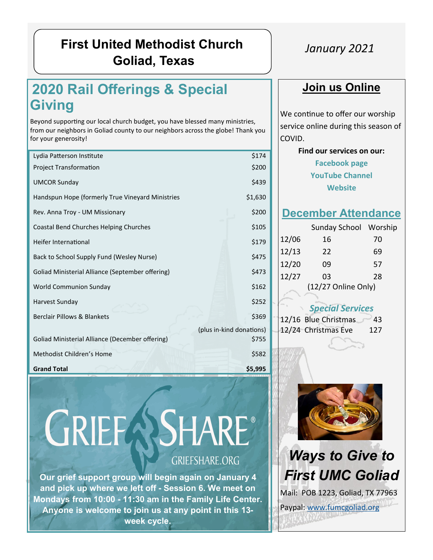# **First United Methodist Church Goliad, Texas**

# **2020 Rail Offerings & Special Giving**

Beyond supporting our local church budget, you have blessed many ministries, from our neighbors in Goliad county to our neighbors across the globe! Thank you for your generosity!

| Lydia Patterson Institute                               | \$174                    |
|---------------------------------------------------------|--------------------------|
| <b>Project Transformation</b>                           | \$200                    |
| <b>UMCOR Sunday</b>                                     | \$439                    |
| Handspun Hope (formerly True Vineyard Ministries        | \$1,630                  |
| Rev. Anna Troy - UM Missionary                          | \$200                    |
| Coastal Bend Churches Helping Churches                  | \$105                    |
| Heifer International                                    | \$179                    |
| Back to School Supply Fund (Wesley Nurse)               | \$475                    |
| <b>Goliad Ministerial Alliance (September offering)</b> | \$473                    |
| World Communion Sunday                                  | \$162                    |
| Harvest Sunday                                          | \$252                    |
| Berclair Pillows & Blankets                             | \$369                    |
|                                                         | (plus in-kind donations) |
| <b>Goliad Ministerial Alliance (December offering)</b>  | \$755                    |
| Methodist Children's Home                               | \$582                    |
| <b>Grand Total</b>                                      | \$5,995                  |

# **GRIEFASHARE®** GRIEFSHARE.ORG

**Our grief support group will begin again on January 4 and pick up where we left off - Session 6. We meet on Mondays from 10:00 - 11:30 am in the Family Life Center. Anyone is welcome to join us at any point in this 13 week cycle.**

## *January 2021*

## **Join us Online**

We continue to offer our worship service online during this season of COVID.

> **Find our services on our: [Facebook page](https://www.facebook.com/fumcgoliad) [YouTube Channel](https://www.youtube.com/channel/UCzHQVG9Rl3Y2cH9MXbrcGug)  [Website](https://www.fumcgoliad.org/)**

### **December Attendance**

|                     | Sunday School Worship |    |  |  |
|---------------------|-----------------------|----|--|--|
| 12/06<br>12/13      | 16                    | 70 |  |  |
|                     | 22                    | 69 |  |  |
| 12/20               | 09                    | 57 |  |  |
| 12/27               | 03                    | 28 |  |  |
| (12/27 Online Only) |                       |    |  |  |
|                     |                       |    |  |  |

#### *Special Services*

|  |                                                 | 43  |
|--|-------------------------------------------------|-----|
|  | $12/16$ Blue Christmas<br>$12/24$ Christmas Eve | 127 |
|  |                                                 |     |



# *Ways to Give to First UMC Goliad* Mail: POB 1223, Goliad, TX 77963 Paypal: [www.fumcgoliad.org](https://www.fumcgoliad.org/donate-to-first-united-methodist-ch)